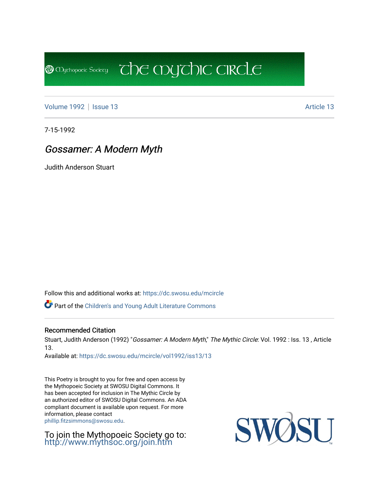[Volume 1992](https://dc.swosu.edu/mcircle/vol1992) | [Issue 13](https://dc.swosu.edu/mcircle/vol1992/iss13) Article 13

**@** Mychopoeic Sociecy

7-15-1992

## Gossamer: A Modern Myth

Judith Anderson Stuart

Follow this and additional works at: [https://dc.swosu.edu/mcircle](https://dc.swosu.edu/mcircle?utm_source=dc.swosu.edu%2Fmcircle%2Fvol1992%2Fiss13%2F13&utm_medium=PDF&utm_campaign=PDFCoverPages) 

Part of the [Children's and Young Adult Literature Commons](http://network.bepress.com/hgg/discipline/1289?utm_source=dc.swosu.edu%2Fmcircle%2Fvol1992%2Fiss13%2F13&utm_medium=PDF&utm_campaign=PDFCoverPages) 

#### Recommended Citation

Stuart, Judith Anderson (1992) "Gossamer: A Modern Myth," The Mythic Circle: Vol. 1992 : Iss. 13, Article 13.

 $\overline{c}$  the mychic circle

Available at: [https://dc.swosu.edu/mcircle/vol1992/iss13/13](https://dc.swosu.edu/mcircle/vol1992/iss13/13?utm_source=dc.swosu.edu%2Fmcircle%2Fvol1992%2Fiss13%2F13&utm_medium=PDF&utm_campaign=PDFCoverPages) 

This Poetry is brought to you for free and open access by the Mythopoeic Society at SWOSU Digital Commons. It has been accepted for inclusion in The Mythic Circle by an authorized editor of SWOSU Digital Commons. An ADA compliant document is available upon request. For more information, please contact [phillip.fitzsimmons@swosu.edu](mailto:phillip.fitzsimmons@swosu.edu).

To join the Mythopoeic Society go to: <http://www.mythsoc.org/join.htm>

SWO **STT**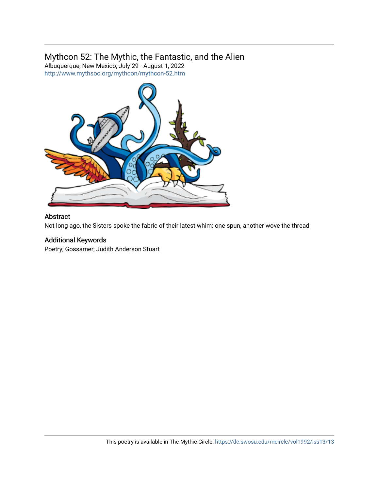### Mythcon 52: The Mythic, the Fantastic, and the Alien

Albuquerque, New Mexico; July 29 - August 1, 2022 <http://www.mythsoc.org/mythcon/mythcon-52.htm>



#### Abstract

Not long ago, the Sisters spoke the fabric of their latest whim: one spun, another wove the thread

#### Additional Keywords

Poetry; Gossamer; Judith Anderson Stuart